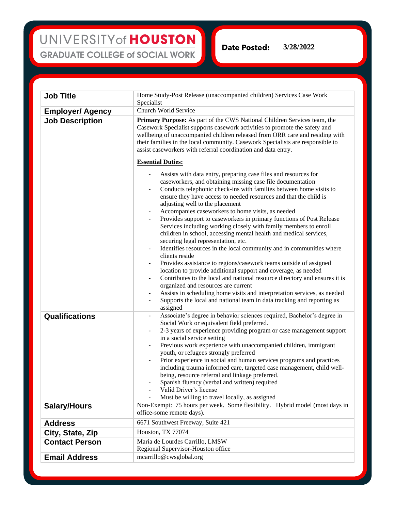UNIVERSITY of HOUSTON **GRADUATE COLLEGE of SOCIAL WORK** 

**Date Posted: 3/28/2022**

**Job Title** Home Study-Post Release (unaccompanied children) Services Case Work Specialist **Employer/ Agency** Church World Service **Job Description Primary Purpose:** As part of the CWS National Children Services team, the Casework Specialist supports casework activities to promote the safety and wellbeing of unaccompanied children released from ORR care and residing with their families in the local community. Casework Specialists are responsible to assist caseworkers with referral coordination and data entry. **Essential Duties:** - Assists with data entry, preparing case files and resources for caseworkers, and obtaining missing case file documentation Conducts telephonic check-ins with families between home visits to ensure they have access to needed resources and that the child is adjusting well to the placement - Accompanies caseworkers to home visits, as needed Provides support to caseworkers in primary functions of Post Release Services including working closely with family members to enroll children in school, accessing mental health and medical services, securing legal representation, etc. Identifies resources in the local community and in communities where clients reside Provides assistance to regions/casework teams outside of assigned location to provide additional support and coverage, as needed - Contributes to the local and national resource directory and ensures it is organized and resources are current Assists in scheduling home visits and interpretation services, as needed Supports the local and national team in data tracking and reporting as assigned **Qualifications** - Associate's degree in behavior sciences required, Bachelor's degree in Social Work or equivalent field preferred. - 2-3 years of experience providing program or case management support in a social service setting Previous work experience with unaccompanied children, immigrant youth, or refugees strongly preferred Prior experience in social and human services programs and practices including trauma informed care, targeted case management, child wellbeing, resource referral and linkage preferred. Spanish fluency (verbal and written) required Valid Driver's license Must be willing to travel locally, as assigned **Salary/Hours** Non-Exempt: 75 hours per week. Some flexibility. Hybrid model (most days in office-some remote days). Address 6671 Southwest Freeway, Suite 421 **City, State, Zip** Houston, TX 77074 **Contact Person** Maria de Lourdes Carrillo, LMSW Regional Supervisor-Houston office

**Email Address mearrillo@cwsglobal.org**